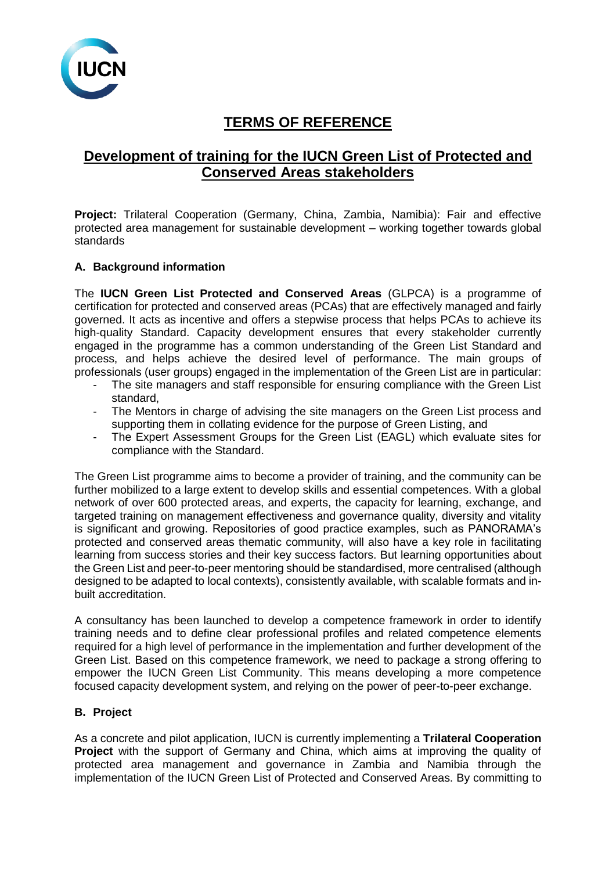

# **TERMS OF REFERENCE**

## **Development of training for the IUCN Green List of Protected and Conserved Areas stakeholders**

Project: Trilateral Cooperation (Germany, China, Zambia, Namibia): Fair and effective protected area management for sustainable development – working together towards global standards

#### **A. Background information**

The **IUCN Green List Protected and Conserved Areas** (GLPCA) is a programme of certification for protected and conserved areas (PCAs) that are effectively managed and fairly governed. It acts as incentive and offers a stepwise process that helps PCAs to achieve its high-quality Standard. Capacity development ensures that every stakeholder currently engaged in the programme has a common understanding of the Green List Standard and process, and helps achieve the desired level of performance. The main groups of professionals (user groups) engaged in the implementation of the Green List are in particular:

- The site managers and staff responsible for ensuring compliance with the Green List standard,
- The Mentors in charge of advising the site managers on the Green List process and supporting them in collating evidence for the purpose of Green Listing, and
- The Expert Assessment Groups for the Green List (EAGL) which evaluate sites for compliance with the Standard.

The Green List programme aims to become a provider of training, and the community can be further mobilized to a large extent to develop skills and essential competences. With a global network of over 600 protected areas, and experts, the capacity for learning, exchange, and targeted training on management effectiveness and governance quality, diversity and vitality is significant and growing. Repositories of good practice examples, such as PANORAMA's protected and conserved areas thematic community, will also have a key role in facilitating learning from success stories and their key success factors. But learning opportunities about the Green List and peer-to-peer mentoring should be standardised, more centralised (although designed to be adapted to local contexts), consistently available, with scalable formats and inbuilt accreditation.

A consultancy has been launched to develop a competence framework in order to identify training needs and to define clear professional profiles and related competence elements required for a high level of performance in the implementation and further development of the Green List. Based on this competence framework, we need to package a strong offering to empower the IUCN Green List Community. This means developing a more competence focused capacity development system, and relying on the power of peer-to-peer exchange.

#### **B. Project**

As a concrete and pilot application, IUCN is currently implementing a **Trilateral Cooperation Project** with the support of Germany and China, which aims at improving the quality of protected area management and governance in Zambia and Namibia through the implementation of the IUCN Green List of Protected and Conserved Areas. By committing to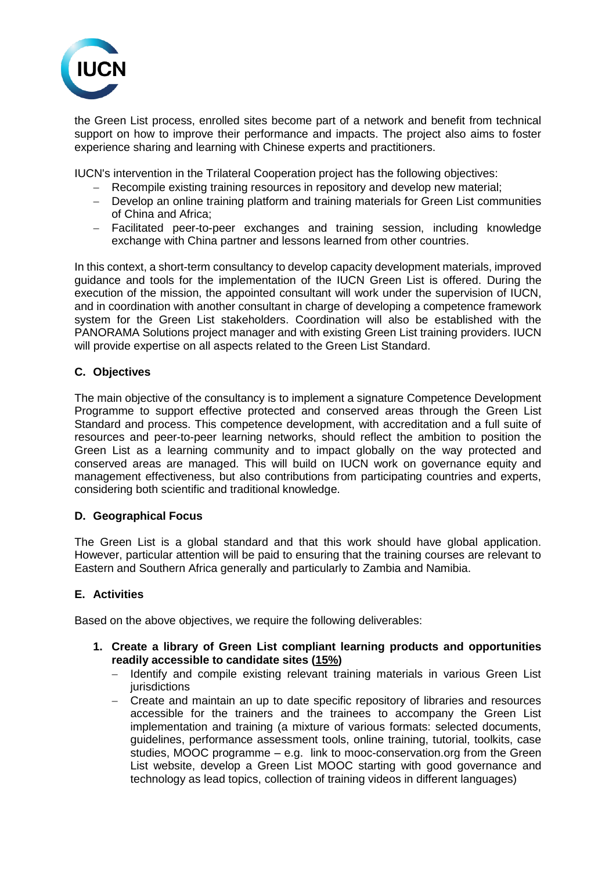

the Green List process, enrolled sites become part of a network and benefit from technical support on how to improve their performance and impacts. The project also aims to foster experience sharing and learning with Chinese experts and practitioners.

IUCN's intervention in the Trilateral Cooperation project has the following objectives:

- − Recompile existing training resources in repository and develop new material;
- − Develop an online training platform and training materials for Green List communities of China and Africa;
- − Facilitated peer-to-peer exchanges and training session, including knowledge exchange with China partner and lessons learned from other countries.

In this context, a short-term consultancy to develop capacity development materials, improved guidance and tools for the implementation of the IUCN Green List is offered. During the execution of the mission, the appointed consultant will work under the supervision of IUCN, and in coordination with another consultant in charge of developing a competence framework system for the Green List stakeholders. Coordination will also be established with the PANORAMA Solutions project manager and with existing Green List training providers. IUCN will provide expertise on all aspects related to the Green List Standard.

## **C. Objectives**

The main objective of the consultancy is to implement a signature Competence Development Programme to support effective protected and conserved areas through the Green List Standard and process. This competence development, with accreditation and a full suite of resources and peer-to-peer learning networks, should reflect the ambition to position the Green List as a learning community and to impact globally on the way protected and conserved areas are managed. This will build on IUCN work on governance equity and management effectiveness, but also contributions from participating countries and experts, considering both scientific and traditional knowledge.

## **D. Geographical Focus**

The Green List is a global standard and that this work should have global application. However, particular attention will be paid to ensuring that the training courses are relevant to Eastern and Southern Africa generally and particularly to Zambia and Namibia.

#### **E. Activities**

Based on the above objectives, we require the following deliverables:

- **1. Create a library of Green List compliant learning products and opportunities readily accessible to candidate sites (15%)**
	- − Identify and compile existing relevant training materials in various Green List **jurisdictions**
	- − Create and maintain an up to date specific repository of libraries and resources accessible for the trainers and the trainees to accompany the Green List implementation and training (a mixture of various formats: selected documents, guidelines, performance assessment tools, online training, tutorial, toolkits, case studies, MOOC programme – e.g. link to [mooc-conservation.org](https://mooc-conservation.org/) from the Green List website, develop a Green List MOOC starting with good governance and technology as lead topics, collection of training videos in different languages)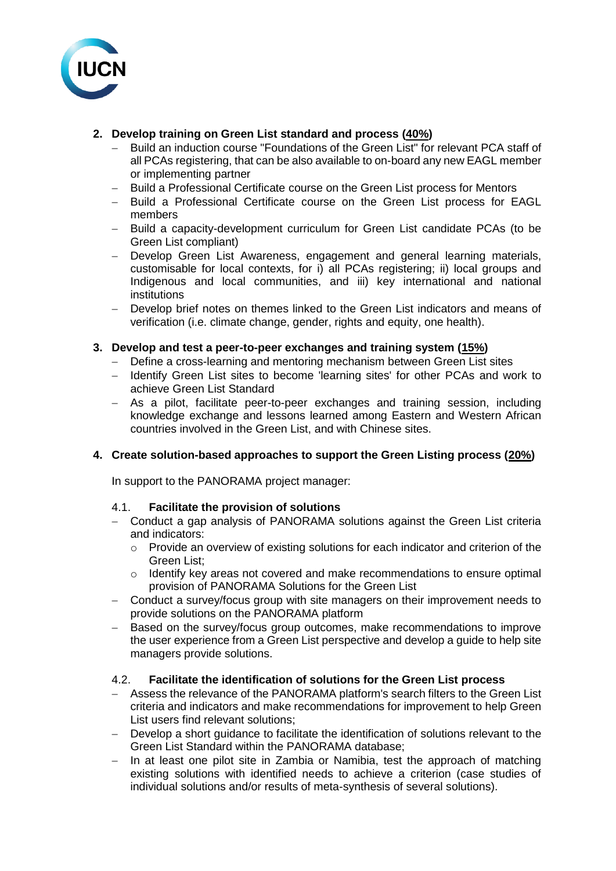

## **2. Develop training on Green List standard and process (40%)**

- Build an induction course "Foundations of the Green List" for relevant PCA staff of all PCAs registering, that can be also available to on-board any new EAGL member or implementing partner
- − Build a Professional Certificate course on the Green List process for Mentors
- − Build a Professional Certificate course on the Green List process for EAGL members
- − Build a capacity-development curriculum for Green List candidate PCAs (to be Green List compliant)
- − Develop Green List Awareness, engagement and general learning materials, customisable for local contexts, for i) all PCAs registering; ii) local groups and Indigenous and local communities, and iii) key international and national institutions
- − Develop brief notes on themes linked to the Green List indicators and means of verification (i.e. climate change, gender, rights and equity, one health).

#### **3. Develop and test a peer-to-peer exchanges and training system (15%)**

- − Define a cross-learning and mentoring mechanism between Green List sites
- − Identify Green List sites to become 'learning sites' for other PCAs and work to achieve Green List Standard
- − As a pilot, facilitate peer-to-peer exchanges and training session, including knowledge exchange and lessons learned among Eastern and Western African countries involved in the Green List, and with Chinese sites.

## **4. Create solution-based approaches to support the Green Listing process (20%)**

In support to the PANORAMA project manager:

#### 4.1. **Facilitate the provision of solutions**

- − Conduct a gap analysis of PANORAMA solutions against the Green List criteria and indicators:
	- o Provide an overview of existing solutions for each indicator and criterion of the Green List;
	- o Identify key areas not covered and make recommendations to ensure optimal provision of PANORAMA Solutions for the Green List
- − Conduct a survey/focus group with site managers on their improvement needs to provide solutions on the PANORAMA platform
- Based on the survey/focus group outcomes, make recommendations to improve the user experience from a Green List perspective and develop a guide to help site managers provide solutions.

#### 4.2. **Facilitate the identification of solutions for the Green List process**

- − Assess the relevance of the PANORAMA platform's search filters to the Green List criteria and indicators and make recommendations for improvement to help Green List users find relevant solutions;
- − Develop a short guidance to facilitate the identification of solutions relevant to the Green List Standard within the PANORAMA database;
- − In at least one pilot site in Zambia or Namibia, test the approach of matching existing solutions with identified needs to achieve a criterion (case studies of individual solutions and/or results of meta-synthesis of several solutions).